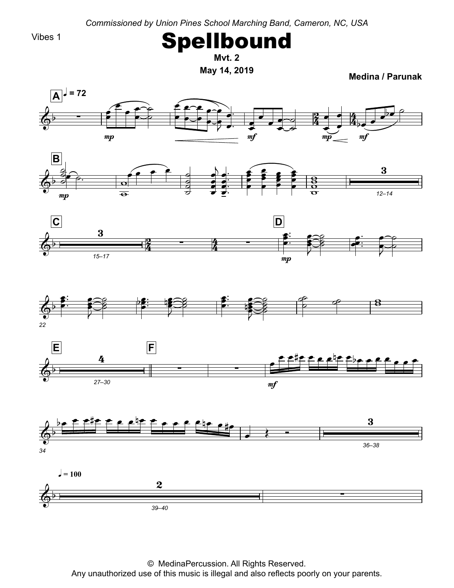Vibes 1



**Mvt.**

**May 14, <sup>2019</sup> Medina**

**/ Parunak**